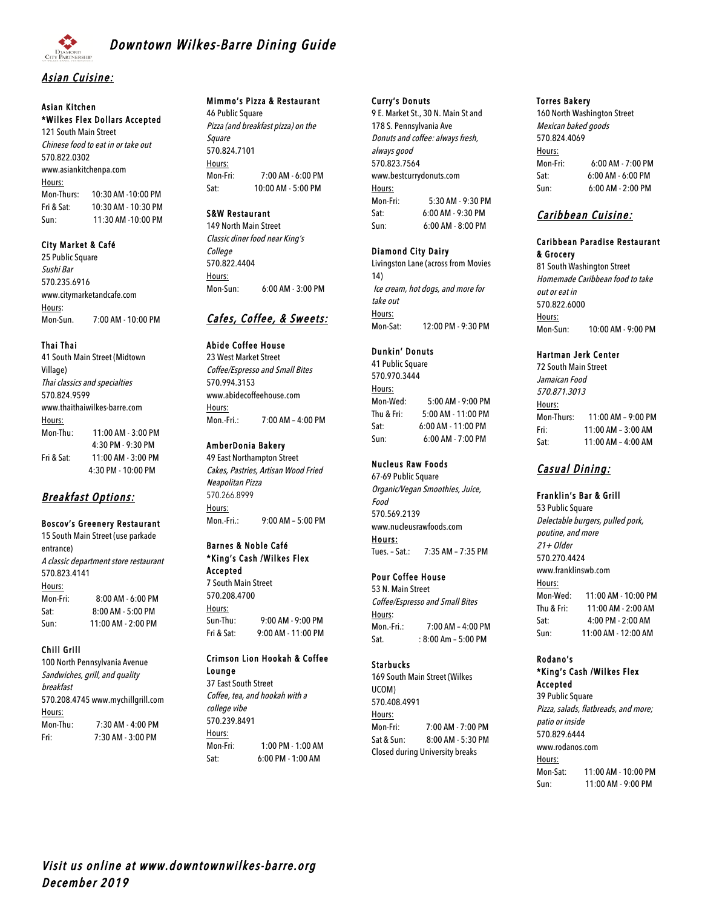

# **Downtown Wilkes-Barre Dining Guide**

## Asian Cuisine:

# Asian Kitchen \*Wilkes Flex Dollars Accepted

121 South Main Street Chinese food to eat in or take out 570.822.0302 www.asiankitchenpa.com Hours: Mon-Thurs: 10:30 AM -10:00 PM Fri & Sat: 10:30 AM - 10:30 PM Sun: 11:30 AM -10:00 PM

### City Market & Café

25 Public Square Sushi Bar 570.235.6916 www.citymarketandcafe.com Hours: Mon-Sun. 7:00 AM - 10:00 PM

### Thai Thai

41 South Main Street (Midtown Village) Thai classics and specialties 570.824.9599 www.thaithaiwilkes-barre.com Hours: Mon-Thu: 11:00 AM - 3:00 PM 4:30 PM - 9:30 PM Fri & Sat: 11:00 AM - 3:00 PM 4:30 PM - 10:00 PM

# Breakfast Options:

### Boscov's Greenery Restaurant

15 South Main Street (use parkade entrance) A classic department store restaurant 570.823.4141 Hours: Mon-Fri: 8:00 AM - 6:00 PM Sat: 8:00 AM - 5:00 PM Sun: 11:00 AM - 2:00 PM

### Chill Grill

100 North Pennsylvania Avenue Sandwiches, grill, and quality breakfast 570.208.4745 www.mychillgrill.com Hours: Mon-Thu: 7:30 AM - 4:00 PM Fri: 7:30 AM - 3:00 PM

### Mimmo's Pizza & Restaurant

46 Public Square Pizza (and breakfast pizza) on the Square 570.824.7101 Hours: Mon-Fri: 7:00 AM - 6:00 PM Sat: 10:00 AM - 5:00 PM

### S&W Restaurant

149 North Main Street Classic diner food near King's College 570.822.4404 Hours: Mon-Sun: 6:00 AM - 3:00 PM

# Cafes, Coffee, & Sweets:

Abide Coffee House 23 West Market Street Coffee/Espresso and Small Bites 570.994.3153 www.abidecoffeehouse.com Hours: Mon.-Fri.: 7:00 AM – 4:00 PM

### AmberDonia Bakery

49 East Northampton Street Cakes, Pastries, Artisan Wood Fried Neapolitan Pizza 570.266.8999 Hours: Mon.-Fri.: 9:00 AM – 5:00 PM

#### Barnes & Noble Café \*King's Cash /Wilkes Flex Accepted

7 South Main Street 570.208.4700 Hours: Sun-Thu: 9:00 AM - 9:00 PM Fri & Sat: 9:00 AM - 11:00 PM

# Crimson Lion Hookah & Coffee Lounge 37 East South Street

Coffee, tea, and hookah with a college vibe 570.239.8491 Hours: Mon-Fri: 1:00 PM - 1:00 AM Sat: 6:00 PM - 1:00 AM

#### Curry's Donuts

9 E. Market St., 30 N. Main St and 178 S. Pennsylvania Ave Donuts and coffee: always fresh, always good 570.823.7564 www.bestcurrydonuts.com Hours: Mon-Fri: 5:30 AM - 9:30 PM Sat: 6:00 AM - 9:30 PM Sun: 6:00 AM - 8:00 PM

### Diamond City Dairy

Livingston Lane (across from Movies 14) Ice cream, hot dogs, and more for take out Hours: Mon-Sat: 12:00 PM - 9:30 PM

#### Dunkin' Donuts

41 Public Square 570.970.3444 Hours: Mon-Wed: 5:00 AM - 9:00 PM Thu & Fri: 5:00 AM - 11:00 PM Sat: 6:00 AM - 11:00 PM Sun: 6:00 AM - 7:00 PM

### Nucleus Raw Foods

67-69 Public Square Organic/Vegan Smoothies, Juice, Food 570.569.2139 www.nucleusrawfoods.com Hours: Tues. – Sat.: 7:35 AM – 7:35 PM

### Pour Coffee House

53 N. Main Street Coffee/Espresso and Small Bites Hours: Mon.-Fri.: 7:00 AM – 4:00 PM Sat. : 8:00 Am - 5:00 PM

### **Starbucks**

169 South Main Street (Wilkes UCOM) 570.408.4991 Hours: Mon-Fri: 7:00 AM - 7:00 PM Sat & Sun: 8:00 AM - 5:30 PM Closed during University breaks

#### Torres Bakery

160 North Washington Street Mexican baked goods 570.824.4069 Hours: Mon-Fri: 6:00 AM - 7:00 PM Sat: 6:00 AM - 6:00 PM Sun: 6:00 AM - 2:00 PM

# Caribbean Cuisine:

#### Caribbean Paradise Restaurant & Grocery

81 South Washington Street Homemade Caribbean food to take out or eat in 570.822.6000 Hours: Mon-Sun: 10:00 AM - 9:00 PM

### Hartman Jerk Center

72 South Main Street Jamaican Food 570.871.3013 Hours: Mon-Thurs: 11:00 AM – 9:00 PM Fri: 11:00 AM – 3:00 AM Sat: 11:00 AM – 4:00 AM

# Casual Dining:

### Franklin's Bar & Grill

53 Public Square Delectable burgers, pulled pork, poutine, and more 21+ Older 570.270.4424 www.franklinswb.com Hours: Mon-Wed: 11:00 AM - 10:00 PM Thu & Fri: 11:00 AM - 2:00 AM Sat: 4:00 PM - 2:00 AM Sun: 11:00 AM - 12:00 AM

## Rodano's \*King's Cash /Wilkes Flex

Accepted 39 Public Square Pizza, salads, flatbreads, and more; patio or inside 570.829.6444 www.rodanos.com Hours: Mon-Sat: 11:00 AM - 10:00 PM Sun: 11:00 AM - 9:00 PM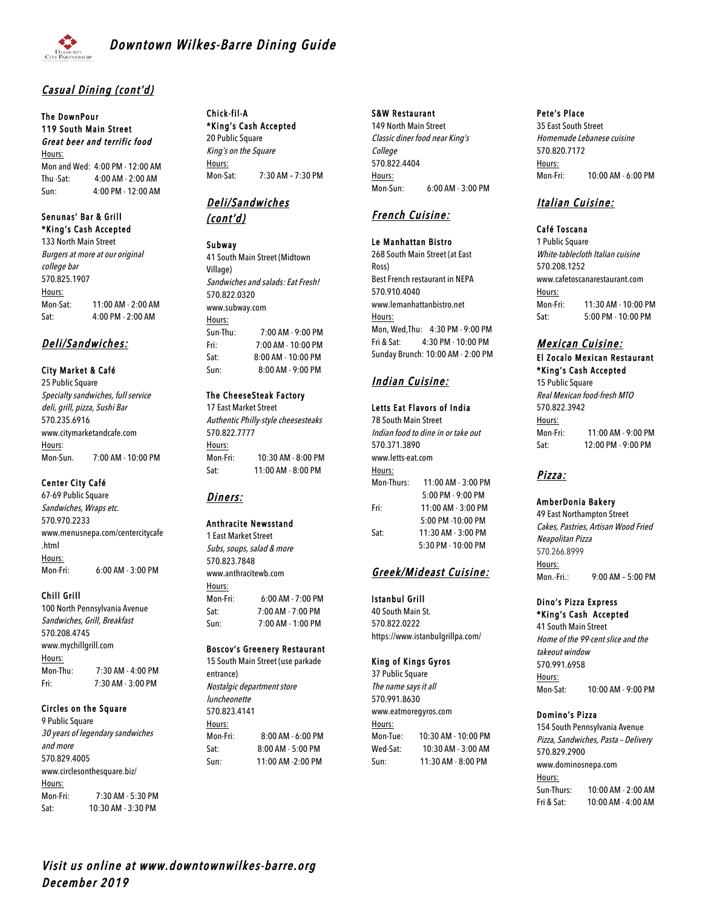

# Casual Dining (cont'd)

#### The DownPour 119 South Main Street Great beer and terrific food Hours:

Mon and Wed: 4:00 PM - 12:00 AM Thu -Sat: 4:00 AM - 2:00 AM Sun: 4:00 PM - 12:00 AM

### Senunas' Bar & Grill \*King's Cash Accepted

133 North Main Street Burgers at more at our original college bar 570.825.1907 Hours: Mon-Sat: 11:00 AM - 2:00 AM Sat: 4:00 PM - 2:00 AM

# Deli/Sandwiches:

City Market & Café 25 Public Square Specialty sandwiches, full service deli, grill, pizza, Sushi Bar 570.235.6916 www.citymarketandcafe.com Hours: Mon-Sun. 7:00 AM - 10:00 PM

### Center City Café

67-69 Public Square Sandwiches, Wraps etc. 570.970.2233 www.menusnepa.com/centercitycafe .html Hours: Mon-Fri: 6:00 AM - 3:00 PM

### Chill Grill

100 North Pennsylvania Avenue Sandwiches, Grill, Breakfast 570.208.4745 www.mychillgrill.com Hours: Mon-Thu: 7:30 AM - 4:00 PM Fri: 7:30 AM - 3:00 PM

### Circles on the Square

9 Public Square 30 years of legendary sandwiches and more 570.829.4005 www.circlesonthesquare.biz/ Hours: Mon-Fri: 7:30 AM - 5:30 PM Sat: 10:30 AM - 3:30 PM

# Chick-fil-A

\*King's Cash Accepted 20 Public Square King's on the Square Hours: Mon-Sat: 7:30 AM – 7:30 PM

# Deli/Sandwiches (cont'd)

### Subway

41 South Main Street (Midtown Village) Sandwiches and salads: Eat Fresh! 570.822.0320 www.subway.com Hours: Sun-Thu: 7:00 AM - 9:00 PM Fri: 7:00 AM - 10:00 PM Sat: 8:00 AM - 10:00 PM Sun: 8:00 AM - 9:00 PM

### The CheeseSteak Factory

17 East Market Street Authentic Philly-style cheesesteaks 570.822.7777 Hours: Mon-Fri: 10:30 AM - 8:00 PM Sat: 11:00 AM - 8:00 PM

# Diners:

### Anthracite Newsstand

1 East Market Street Subs, soups, salad & more 570.823.7848 www.anthracitewh.com Hours: Mon-Fri: 6:00 AM - 7:00 PM Sat: 7:00 AM - 7:00 PM Sun: 7:00 AM - 1:00 PM

## Boscov's Greenery Restaurant

15 South Main Street (use parkade entrance) Nostalgic department store luncheonette 570.823.4141 Hours: Mon-Fri: 8:00 AM - 6:00 PM Sat: 8:00 AM - 5:00 PM Sun: 11:00 AM -2:00 PM

### S&W Restaurant

149 North Main Street Classic diner food near King's College 570.822.4404 Hours: Mon-Sun: 6:00 AM - 3:00 PM

# French Cuisine:

Le Manhattan Bistro 268 South Main Street (at East Ross) Best French restaurant in NEPA 570.910.4040 www.lemanhattanbistro.net Hours: Mon, Wed,Thu: 4:30 PM - 9:00 PM Fri & Sat: 4:30 PM - 10:00 PM Sunday Brunch: 10:00 AM - 2:00 PM

# Indian Cuisine:

### Letts Eat Flavors of India

78 South Main Street Indian food to dine in or take out 570.371.3890 www.letts-eat.com Hours: Mon-Thurs: 11:00 AM - 3:00 PM 5:00 PM - 9:00 PM Fri: 11:00 AM - 3:00 PM 5:00 PM -10:00 PM Sat: 11:30 AM - 3:00 PM 5:30 PM - 10:00 PM

# Greek/Mideast Cuisine:

Istanbul Grill 40 South Main St. 570.822.0222 https://www.istanbulgrillpa.com/

### King of Kings Gyros

37 Public Square The name says it all 570.991.8630 www.eatmoregyros.com Hours: Mon-Tue: 10:30 AM - 10:00 PM Wed-Sat: 10:30 AM - 3:00 AM Sun: 11:30 AM - 8:00 PM

### Pete's Place

35 East South Street Homemade Lebanese cuisine 570.820.7172 Hours: Mon-Fri: 10:00 AM - 6:00 PM

# Italian Cuisine:

## Café Toscana

1 Public Square White-tablecloth Italian cuisine 570.208.1252 www.cafetoscanarestaurant.com Hours: Mon-Fri: 11:30 AM - 10:00 PM Sat: 5:00 PM - 10:00 PM

### Mexican Cuisine: El Zocalo Mexican Restaurant \*King's Cash Accepted

15 Public Square Real Mexican food-fresh MTO 570.822.3942 Hours: Mon-Fri: 11:00 AM - 9:00 PM Sat: 12:00 PM - 9:00 PM

# Pizza:

### AmberDonia Bakery

49 East Northampton Street Cakes, Pastries, Artisan Wood Fried Neapolitan Pizza 570.266.8999 Hours: Mon.-Fri.: 9:00 AM – 5:00 PM

### Dino's Pizza Express \*King's Cash Accepted

41 South Main Street Home of the 99-cent slice and the takeout window 570.991.6958 Hours: Mon-Sat: 10:00 AM - 9:00 PM

### Domino's Pizza

154 South Pennsylvania Avenue Pizza, Sandwiches, Pasta – Delivery 570.829.2900 www.dominosnepa.com Hours: Sun-Thurs: 10:00 AM - 2:00 AM Fri & Sat: 10:00 AM - 4:00 AM